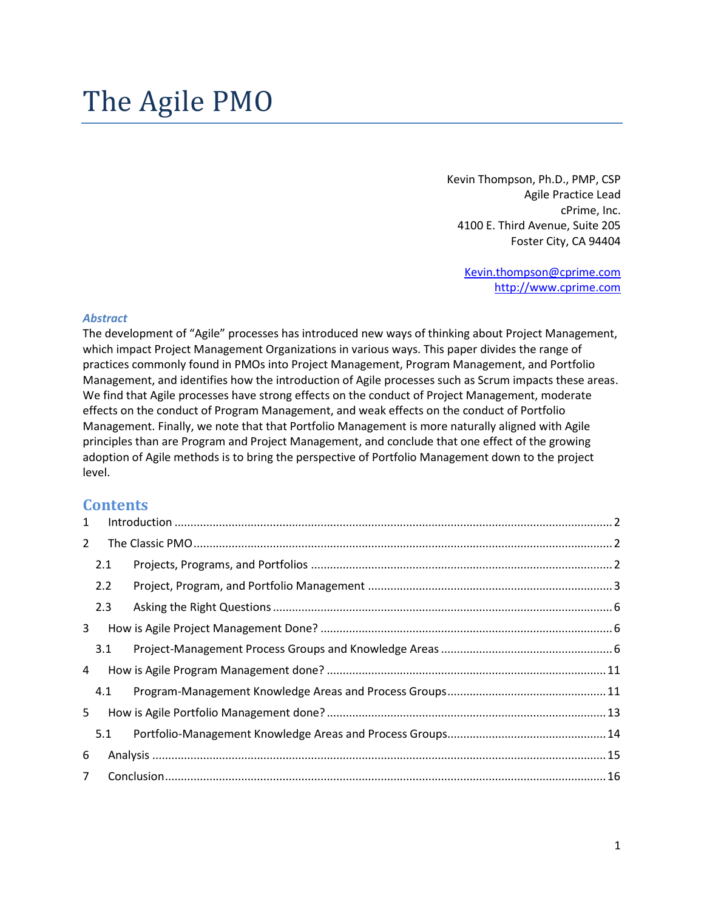Kevin Thompson, Ph.D., PMP, CSP Agile Practice Lead cPrime, Inc. 4100 E. Third Avenue, Suite 205 Foster City, CA 94404

> [Kevin.thompson@cprime.com](mailto:Kevin.thompson@cprime.com) [http://www.cprime.com](http://www.cprime.com/)

#### *Abstract*

The development of "Agile" processes has introduced new ways of thinking about Project Management, which impact Project Management Organizations in various ways. This paper divides the range of practices commonly found in PMOs into Project Management, Program Management, and Portfolio Management, and identifies how the introduction of Agile processes such as Scrum impacts these areas. We find that Agile processes have strong effects on the conduct of Project Management, moderate effects on the conduct of Program Management, and weak effects on the conduct of Portfolio Management. Finally, we note that that Portfolio Management is more naturally aligned with Agile principles than are Program and Project Management, and conclude that one effect of the growing adoption of Agile methods is to bring the perspective of Portfolio Management down to the project level.

#### **Contents**

| $\mathbf{1}$   |     |  |
|----------------|-----|--|
| $2^{\circ}$    |     |  |
|                | 2.1 |  |
|                | 2.2 |  |
|                | 2.3 |  |
| 3              |     |  |
|                | 3.1 |  |
| $\overline{4}$ |     |  |
|                | 4.1 |  |
| 5 <sup>1</sup> |     |  |
|                | 5.1 |  |
| 6              |     |  |
| $7^{\circ}$    |     |  |
|                |     |  |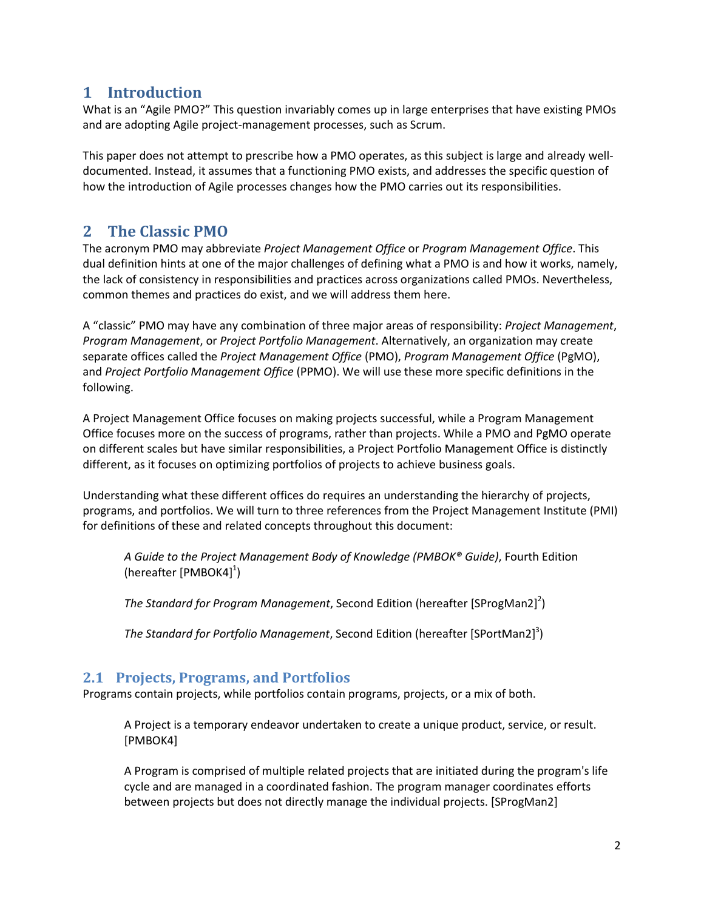### <span id="page-1-0"></span>**1 Introduction**

What is an "Agile PMO?" This question invariably comes up in large enterprises that have existing PMOs and are adopting Agile project-management processes, such as Scrum.

This paper does not attempt to prescribe how a PMO operates, as this subject is large and already welldocumented. Instead, it assumes that a functioning PMO exists, and addresses the specific question of how the introduction of Agile processes changes how the PMO carries out its responsibilities.

# <span id="page-1-1"></span>**2 The Classic PMO**

The acronym PMO may abbreviate *Project Management Office* or *Program Management Office*. This dual definition hints at one of the major challenges of defining what a PMO is and how it works, namely, the lack of consistency in responsibilities and practices across organizations called PMOs. Nevertheless, common themes and practices do exist, and we will address them here.

A "classic" PMO may have any combination of three major areas of responsibility: *Project Management*, *Program Management*, or *Project Portfolio Management*. Alternatively, an organization may create separate offices called the *Project Management Office* (PMO), *Program Management Office* (PgMO), and *Project Portfolio Management Office* (PPMO). We will use these more specific definitions in the following.

A Project Management Office focuses on making projects successful, while a Program Management Office focuses more on the success of programs, rather than projects. While a PMO and PgMO operate on different scales but have similar responsibilities, a Project Portfolio Management Office is distinctly different, as it focuses on optimizing portfolios of projects to achieve business goals.

Understanding what these different offices do requires an understanding the hierarchy of projects, programs, and portfolios. We will turn to three references from the Project Management Institute (PMI) for definitions of these and related concepts throughout this document:

*A Guide to the Project Management Body of Knowledge (PMBOK® Guide)*, Fourth Edition (hereafter [PMBOK4]<sup>1</sup>)

*The Standard for Program Management*, Second Edition (hereafter [SProgMan2] 2 )

*The Standard for Portfolio Management*, Second Edition (hereafter [SPortMan2] 3 )

### <span id="page-1-2"></span>**2.1 Projects, Programs, and Portfolios**

Programs contain projects, while portfolios contain programs, projects, or a mix of both.

A Project is a temporary endeavor undertaken to create a unique product, service, or result. [PMBOK4]

A Program is comprised of multiple related projects that are initiated during the program's life cycle and are managed in a coordinated fashion. The program manager coordinates efforts between projects but does not directly manage the individual projects. [SProgMan2]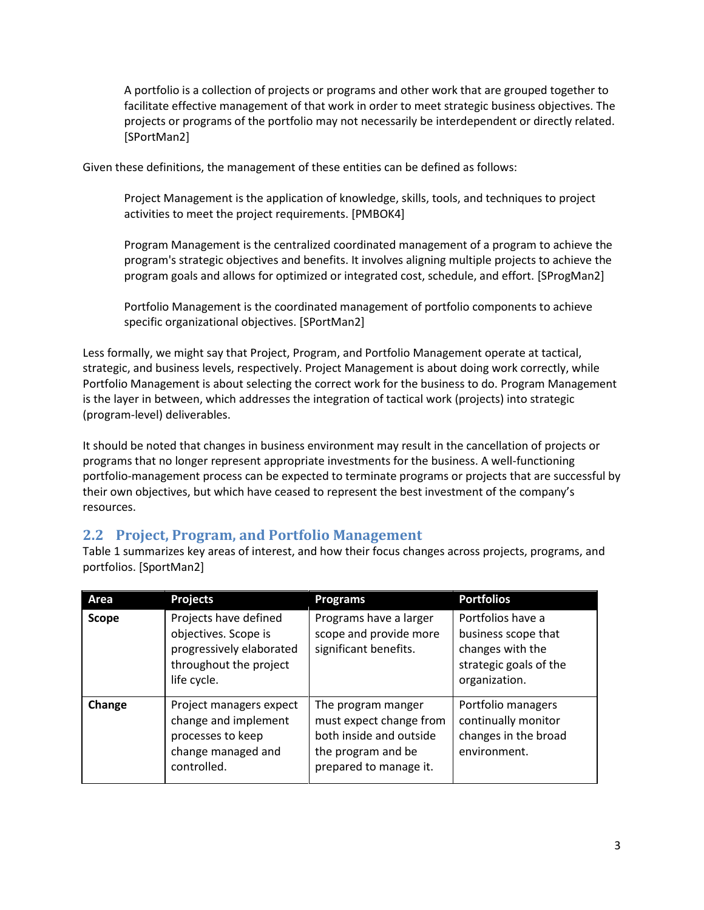A portfolio is a collection of projects or programs and other work that are grouped together to facilitate effective management of that work in order to meet strategic business objectives. The projects or programs of the portfolio may not necessarily be interdependent or directly related. [SPortMan2]

Given these definitions, the management of these entities can be defined as follows:

Project Management is the application of knowledge, skills, tools, and techniques to project activities to meet the project requirements. [PMBOK4]

Program Management is the centralized coordinated management of a program to achieve the program's strategic objectives and benefits. It involves aligning multiple projects to achieve the program goals and allows for optimized or integrated cost, schedule, and effort. [SProgMan2]

Portfolio Management is the coordinated management of portfolio components to achieve specific organizational objectives. [SPortMan2]

Less formally, we might say that Project, Program, and Portfolio Management operate at tactical, strategic, and business levels, respectively. Project Management is about doing work correctly, while Portfolio Management is about selecting the correct work for the business to do. Program Management is the layer in between, which addresses the integration of tactical work (projects) into strategic (program-level) deliverables.

It should be noted that changes in business environment may result in the cancellation of projects or programs that no longer represent appropriate investments for the business. A well-functioning portfolio-management process can be expected to terminate programs or projects that are successful by their own objectives, but which have ceased to represent the best investment of the company's resources.

#### <span id="page-2-0"></span>**2.2 Project, Program, and Portfolio Management**

[Table 1](#page-3-0) summarizes key areas of interest, and how their focus changes across projects, programs, and portfolios. [SportMan2]

| Area         | <b>Projects</b>                                                                                                    | <b>Programs</b>                                                                                                          | <b>Portfolios</b>                                                                                       |
|--------------|--------------------------------------------------------------------------------------------------------------------|--------------------------------------------------------------------------------------------------------------------------|---------------------------------------------------------------------------------------------------------|
| <b>Scope</b> | Projects have defined<br>objectives. Scope is<br>progressively elaborated<br>throughout the project<br>life cycle. | Programs have a larger<br>scope and provide more<br>significant benefits.                                                | Portfolios have a<br>business scope that<br>changes with the<br>strategic goals of the<br>organization. |
| Change       | Project managers expect<br>change and implement<br>processes to keep<br>change managed and<br>controlled.          | The program manger<br>must expect change from<br>both inside and outside<br>the program and be<br>prepared to manage it. | Portfolio managers<br>continually monitor<br>changes in the broad<br>environment.                       |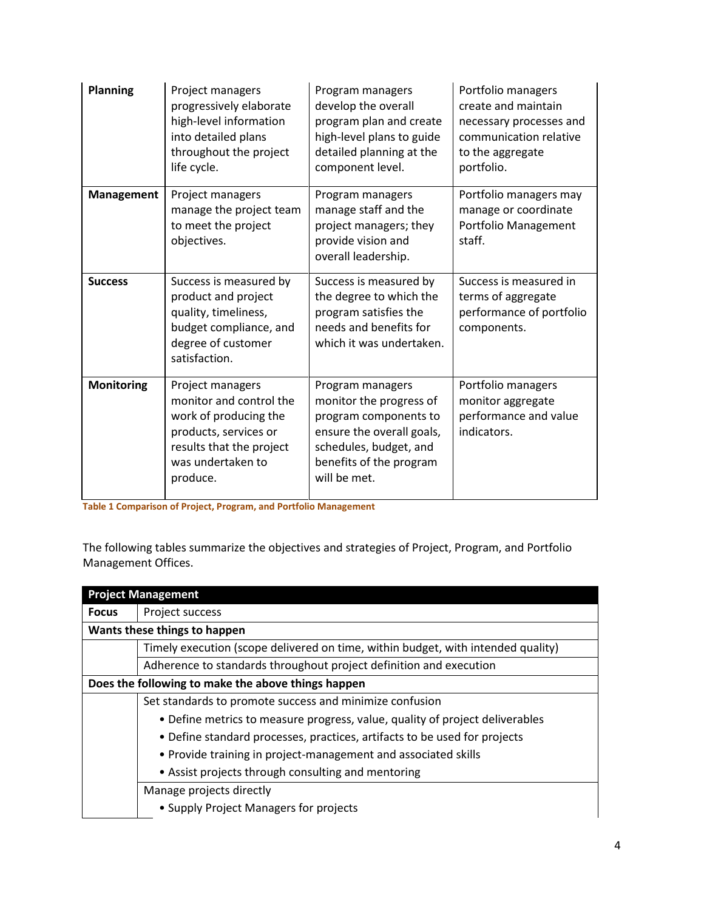| <b>Planning</b>   | Project managers<br>progressively elaborate<br>high-level information<br>into detailed plans<br>throughout the project<br>life cycle.                      | Program managers<br>develop the overall<br>program plan and create<br>high-level plans to guide<br>detailed planning at the<br>component level.                        | Portfolio managers<br>create and maintain<br>necessary processes and<br>communication relative<br>to the aggregate<br>portfolio. |
|-------------------|------------------------------------------------------------------------------------------------------------------------------------------------------------|------------------------------------------------------------------------------------------------------------------------------------------------------------------------|----------------------------------------------------------------------------------------------------------------------------------|
| Management        | Project managers<br>manage the project team<br>to meet the project<br>objectives.                                                                          | Program managers<br>manage staff and the<br>project managers; they<br>provide vision and<br>overall leadership.                                                        | Portfolio managers may<br>manage or coordinate<br>Portfolio Management<br>staff.                                                 |
| <b>Success</b>    | Success is measured by<br>product and project<br>quality, timeliness,<br>budget compliance, and<br>degree of customer<br>satisfaction.                     | Success is measured by<br>the degree to which the<br>program satisfies the<br>needs and benefits for<br>which it was undertaken.                                       | Success is measured in<br>terms of aggregate<br>performance of portfolio<br>components.                                          |
| <b>Monitoring</b> | Project managers<br>monitor and control the<br>work of producing the<br>products, services or<br>results that the project<br>was undertaken to<br>produce. | Program managers<br>monitor the progress of<br>program components to<br>ensure the overall goals,<br>schedules, budget, and<br>benefits of the program<br>will be met. | Portfolio managers<br>monitor aggregate<br>performance and value<br>indicators.                                                  |

<span id="page-3-0"></span>**Table 1 Comparison of Project, Program, and Portfolio Management**

The following tables summarize the objectives and strategies of Project, Program, and Portfolio Management Offices.

|              | <b>Project Management</b>                                                        |  |  |  |  |  |
|--------------|----------------------------------------------------------------------------------|--|--|--|--|--|
| <b>Focus</b> | Project success                                                                  |  |  |  |  |  |
|              | Wants these things to happen                                                     |  |  |  |  |  |
|              | Timely execution (scope delivered on time, within budget, with intended quality) |  |  |  |  |  |
|              | Adherence to standards throughout project definition and execution               |  |  |  |  |  |
|              | Does the following to make the above things happen                               |  |  |  |  |  |
|              | Set standards to promote success and minimize confusion                          |  |  |  |  |  |
|              | • Define metrics to measure progress, value, quality of project deliverables     |  |  |  |  |  |
|              | • Define standard processes, practices, artifacts to be used for projects        |  |  |  |  |  |
|              | • Provide training in project-management and associated skills                   |  |  |  |  |  |
|              | • Assist projects through consulting and mentoring                               |  |  |  |  |  |
|              | Manage projects directly                                                         |  |  |  |  |  |
|              | • Supply Project Managers for projects                                           |  |  |  |  |  |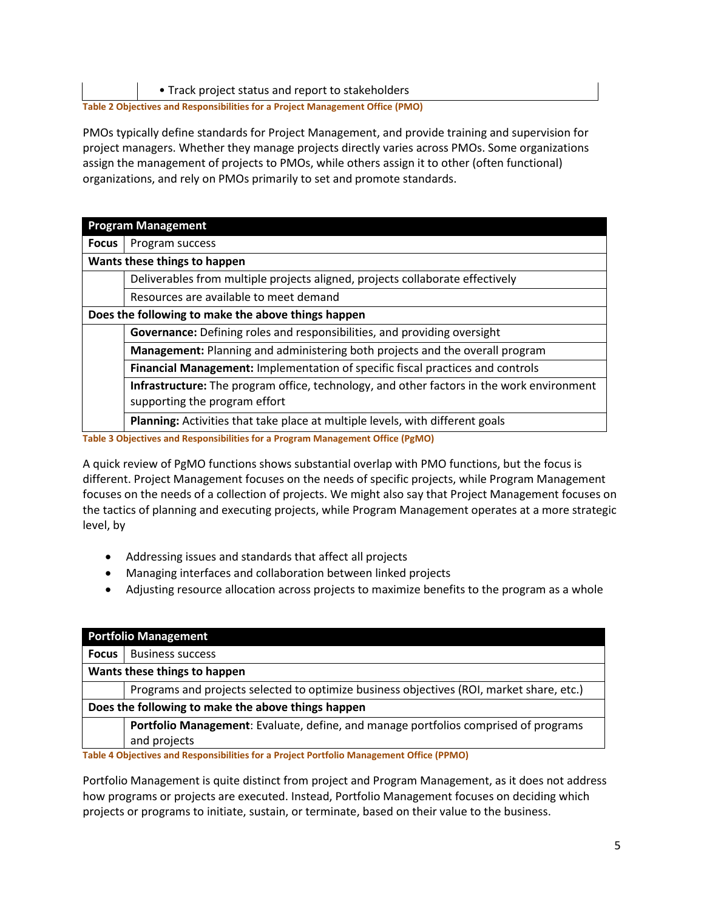• Track project status and report to stakeholders

**Table 2 Objectives and Responsibilities for a Project Management Office (PMO)**

PMOs typically define standards for Project Management, and provide training and supervision for project managers. Whether they manage projects directly varies across PMOs. Some organizations assign the management of projects to PMOs, while others assign it to other (often functional) organizations, and rely on PMOs primarily to set and promote standards.

|              | <b>Program Management</b>                                                                        |  |  |  |  |  |  |
|--------------|--------------------------------------------------------------------------------------------------|--|--|--|--|--|--|
| <b>Focus</b> | Program success                                                                                  |  |  |  |  |  |  |
|              | Wants these things to happen                                                                     |  |  |  |  |  |  |
|              | Deliverables from multiple projects aligned, projects collaborate effectively                    |  |  |  |  |  |  |
|              | Resources are available to meet demand                                                           |  |  |  |  |  |  |
|              | Does the following to make the above things happen                                               |  |  |  |  |  |  |
|              | Governance: Defining roles and responsibilities, and providing oversight                         |  |  |  |  |  |  |
|              | Management: Planning and administering both projects and the overall program                     |  |  |  |  |  |  |
|              | Financial Management: Implementation of specific fiscal practices and controls                   |  |  |  |  |  |  |
|              | <b>Infrastructure:</b> The program office, technology, and other factors in the work environment |  |  |  |  |  |  |
|              | supporting the program effort                                                                    |  |  |  |  |  |  |
|              | Planning: Activities that take place at multiple levels, with different goals                    |  |  |  |  |  |  |

**Table 3 Objectives and Responsibilities for a Program Management Office (PgMO)**

A quick review of PgMO functions shows substantial overlap with PMO functions, but the focus is different. Project Management focuses on the needs of specific projects, while Program Management focuses on the needs of a collection of projects. We might also say that Project Management focuses on the tactics of planning and executing projects, while Program Management operates at a more strategic level, by

- Addressing issues and standards that affect all projects
- Managing interfaces and collaboration between linked projects
- Adjusting resource allocation across projects to maximize benefits to the program as a whole

| <b>Portfolio Management</b>  |                                                                                          |  |  |  |  |  |
|------------------------------|------------------------------------------------------------------------------------------|--|--|--|--|--|
| <b>Focus</b>                 | <b>Business success</b>                                                                  |  |  |  |  |  |
| Wants these things to happen |                                                                                          |  |  |  |  |  |
|                              | Programs and projects selected to optimize business objectives (ROI, market share, etc.) |  |  |  |  |  |
|                              | Does the following to make the above things happen                                       |  |  |  |  |  |
|                              | Portfolio Management: Evaluate, define, and manage portfolios comprised of programs      |  |  |  |  |  |
|                              | and projects                                                                             |  |  |  |  |  |

**Table 4 Objectives and Responsibilities for a Project Portfolio Management Office (PPMO)**

Portfolio Management is quite distinct from project and Program Management, as it does not address how programs or projects are executed. Instead, Portfolio Management focuses on deciding which projects or programs to initiate, sustain, or terminate, based on their value to the business.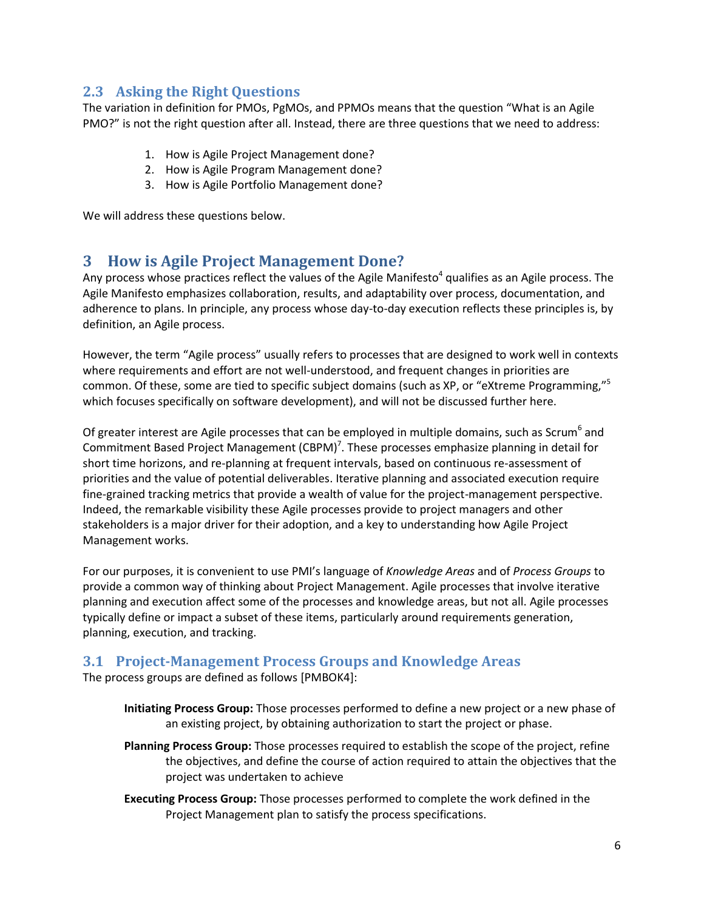### <span id="page-5-0"></span>**2.3 Asking the Right Questions**

The variation in definition for PMOs, PgMOs, and PPMOs means that the question "What is an Agile PMO?" is not the right question after all. Instead, there are three questions that we need to address:

- 1. How is Agile Project Management done?
- 2. How is Agile Program Management done?
- 3. How is Agile Portfolio Management done?

<span id="page-5-1"></span>We will address these questions below.

### **3 How is Agile Project Management Done?**

Any process whose practices reflect the values of the Agile Manifesto<sup>4</sup> qualifies as an Agile process. The Agile Manifesto emphasizes collaboration, results, and adaptability over process, documentation, and adherence to plans. In principle, any process whose day-to-day execution reflects these principles is, by definition, an Agile process.

However, the term "Agile process" usually refers to processes that are designed to work well in contexts where requirements and effort are not well-understood, and frequent changes in priorities are common. Of these, some are tied to specific subject domains (such as XP, or "eXtreme Programming,"<sup>5</sup> which focuses specifically on software development), and will not be discussed further here.

Of greater interest are Agile processes that can be employed in multiple domains, such as Scrum<sup>6</sup> and Commitment Based Project Management (CBPM)<sup>7</sup>. These processes emphasize planning in detail for short time horizons, and re-planning at frequent intervals, based on continuous re-assessment of priorities and the value of potential deliverables. Iterative planning and associated execution require fine-grained tracking metrics that provide a wealth of value for the project-management perspective. Indeed, the remarkable visibility these Agile processes provide to project managers and other stakeholders is a major driver for their adoption, and a key to understanding how Agile Project Management works.

For our purposes, it is convenient to use PMI's language of *Knowledge Areas* and of *Process Groups* to provide a common way of thinking about Project Management. Agile processes that involve iterative planning and execution affect some of the processes and knowledge areas, but not all. Agile processes typically define or impact a subset of these items, particularly around requirements generation, planning, execution, and tracking.

### <span id="page-5-2"></span>**3.1 Project-Management Process Groups and Knowledge Areas**

The process groups are defined as follows [PMBOK4]:

- **Initiating Process Group:** Those processes performed to define a new project or a new phase of an existing project, by obtaining authorization to start the project or phase.
- **Planning Process Group:** Those processes required to establish the scope of the project, refine the objectives, and define the course of action required to attain the objectives that the project was undertaken to achieve
- **Executing Process Group:** Those processes performed to complete the work defined in the Project Management plan to satisfy the process specifications.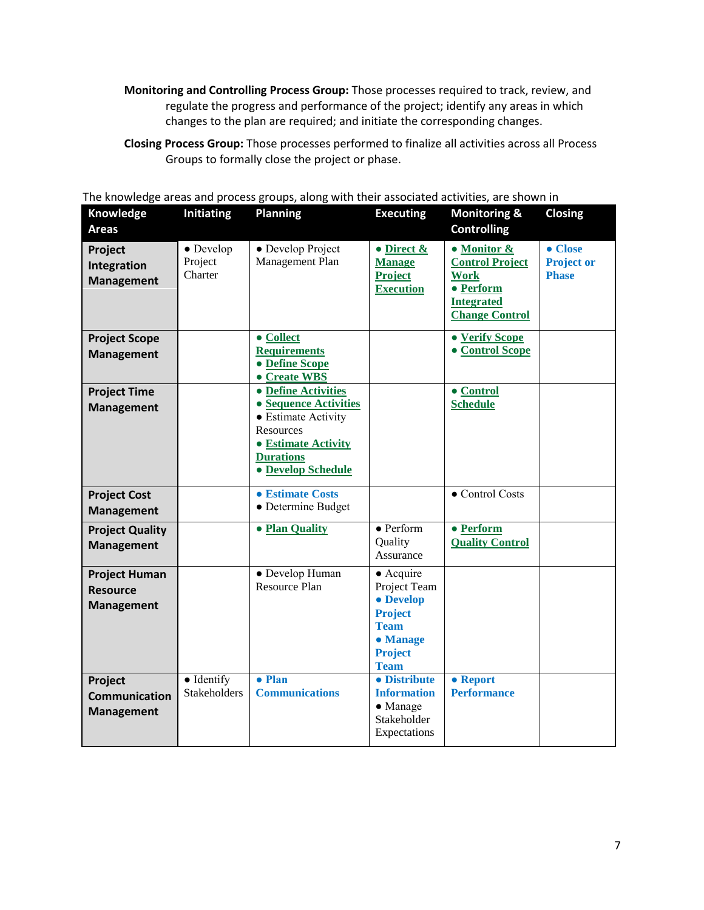- **Monitoring and Controlling Process Group:** Those processes required to track, review, and regulate the progress and performance of the project; identify any areas in which changes to the plan are required; and initiate the corresponding changes.
- **Closing Process Group:** Those processes performed to finalize all activities across all Process Groups to formally close the project or phase.

| Knowledge<br><b>Areas</b>                                    | <b>Initiating</b>                       | Planning                                                                                                                                                 | <b>Executing</b>                                                                                                             | <b>Monitoring &amp;</b><br><b>Controlling</b>                                                                   | Closing                                      |
|--------------------------------------------------------------|-----------------------------------------|----------------------------------------------------------------------------------------------------------------------------------------------------------|------------------------------------------------------------------------------------------------------------------------------|-----------------------------------------------------------------------------------------------------------------|----------------------------------------------|
| Project<br>Integration<br><b>Management</b>                  | $\bullet$ Develop<br>Project<br>Charter | • Develop Project<br>Management Plan                                                                                                                     | $\bullet$ Direct &<br><b>Manage</b><br><b>Project</b><br><b>Execution</b>                                                    | • Monitor &<br><b>Control Project</b><br><b>Work</b><br>• Perform<br><b>Integrated</b><br><b>Change Control</b> | • Close<br><b>Project or</b><br><b>Phase</b> |
| <b>Project Scope</b><br><b>Management</b>                    |                                         | • Collect<br><b>Requirements</b><br>• Define Scope<br>• Create WBS                                                                                       |                                                                                                                              | • Verify Scope<br>• Control Scope                                                                               |                                              |
| <b>Project Time</b><br><b>Management</b>                     |                                         | • Define Activities<br>• Sequence Activities<br>• Estimate Activity<br>Resources<br>• Estimate Activity<br><b>Durations</b><br><b>. Develop Schedule</b> |                                                                                                                              | $\bullet$ Control<br><b>Schedule</b>                                                                            |                                              |
| <b>Project Cost</b><br><b>Management</b>                     |                                         | <b>• Estimate Costs</b><br>• Determine Budget                                                                                                            |                                                                                                                              | • Control Costs                                                                                                 |                                              |
| <b>Project Quality</b><br><b>Management</b>                  |                                         | • Plan Quality                                                                                                                                           | $\bullet$ Perform<br>Quality<br>Assurance                                                                                    | • Perform<br><b>Quality Control</b>                                                                             |                                              |
| <b>Project Human</b><br><b>Resource</b><br><b>Management</b> |                                         | • Develop Human<br>Resource Plan                                                                                                                         | $\bullet$ Acquire<br>Project Team<br>• Develop<br><b>Project</b><br><b>Team</b><br>• Manage<br><b>Project</b><br><b>Team</b> |                                                                                                                 |                                              |
| Project<br><b>Communication</b><br><b>Management</b>         | · Identify<br><b>Stakeholders</b>       | • Plan<br><b>Communications</b>                                                                                                                          | • Distribute<br><b>Information</b><br>$\bullet$ Manage<br>Stakeholder<br>Expectations                                        | • Report<br><b>Performance</b>                                                                                  |                                              |

The knowledge areas and process groups, along with their associated activities, are shown i[n](#page-7-0)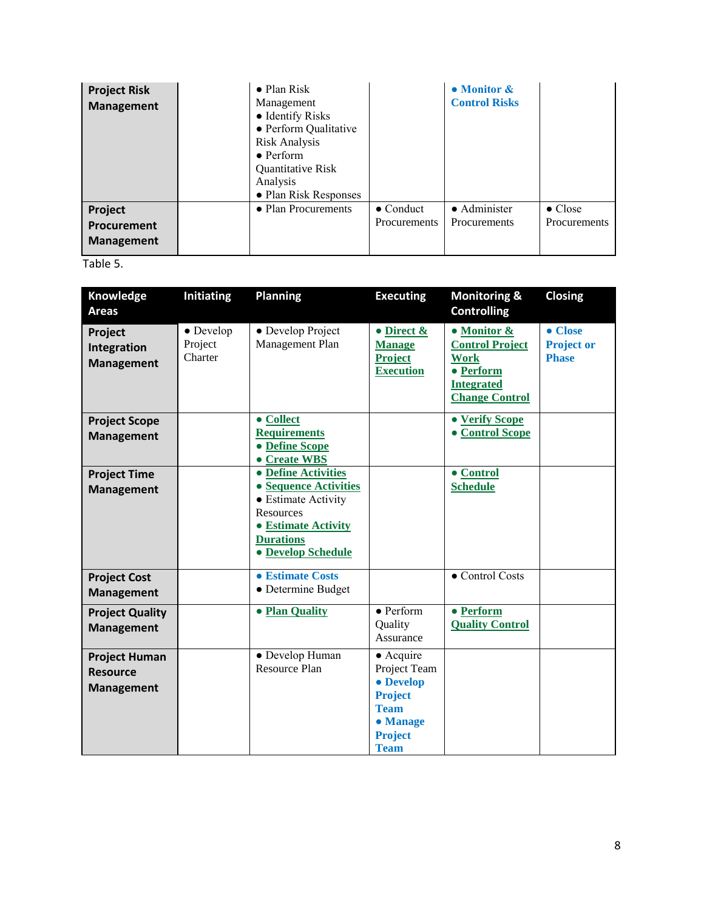| <b>Project Risk</b><br><b>Management</b>    | $\bullet$ Plan Risk<br>Management<br>• Identify Risks<br>• Perform Qualitative<br><b>Risk Analysis</b><br>$\bullet$ Perform<br><b>Quantitative Risk</b><br>Analysis<br>• Plan Risk Responses |                                   | • Monitor &<br><b>Control Risks</b> |                                 |
|---------------------------------------------|----------------------------------------------------------------------------------------------------------------------------------------------------------------------------------------------|-----------------------------------|-------------------------------------|---------------------------------|
| Project<br>Procurement<br><b>Management</b> | • Plan Procurements                                                                                                                                                                          | $\bullet$ Conduct<br>Procurements | • Administer<br><b>Procurements</b> | $\bullet$ Close<br>Procurements |

Table 5.

<span id="page-7-0"></span>

| Knowledge<br><b>Areas</b>                                    | <b>Initiating</b>                       | <b>Planning</b>                                                                                                                                                 | <b>Executing</b>                                                                                                             | <b>Monitoring &amp;</b><br><b>Controlling</b>                                                                   | <b>Closing</b>                               |
|--------------------------------------------------------------|-----------------------------------------|-----------------------------------------------------------------------------------------------------------------------------------------------------------------|------------------------------------------------------------------------------------------------------------------------------|-----------------------------------------------------------------------------------------------------------------|----------------------------------------------|
| Project<br>Integration<br><b>Management</b>                  | $\bullet$ Develop<br>Project<br>Charter | • Develop Project<br>Management Plan                                                                                                                            | $\bullet$ Direct &<br><b>Manage</b><br><b>Project</b><br><b>Execution</b>                                                    | • Monitor &<br><b>Control Project</b><br><b>Work</b><br>• Perform<br><b>Integrated</b><br><b>Change Control</b> | • Close<br><b>Project or</b><br><b>Phase</b> |
| <b>Project Scope</b><br><b>Management</b>                    |                                         | • Collect<br><b>Requirements</b><br>• Define Scope<br>• Create WBS                                                                                              |                                                                                                                              | • Verify Scope<br><b>• Control Scope</b>                                                                        |                                              |
| <b>Project Time</b><br><b>Management</b>                     |                                         | • Define Activities<br>• Sequence Activities<br>• Estimate Activity<br><b>Resources</b><br>• Estimate Activity<br><b>Durations</b><br><b>. Develop Schedule</b> |                                                                                                                              | $\bullet$ Control<br><b>Schedule</b>                                                                            |                                              |
| <b>Project Cost</b><br><b>Management</b>                     |                                         | • Estimate Costs<br>• Determine Budget                                                                                                                          |                                                                                                                              | • Control Costs                                                                                                 |                                              |
| <b>Project Quality</b><br><b>Management</b>                  |                                         | • Plan Quality                                                                                                                                                  | $\bullet$ Perform<br>Quality<br>Assurance                                                                                    | • Perform<br><b>Quality Control</b>                                                                             |                                              |
| <b>Project Human</b><br><b>Resource</b><br><b>Management</b> |                                         | • Develop Human<br><b>Resource Plan</b>                                                                                                                         | $\bullet$ Acquire<br>Project Team<br>• Develop<br><b>Project</b><br><b>Team</b><br>• Manage<br><b>Project</b><br><b>Team</b> |                                                                                                                 |                                              |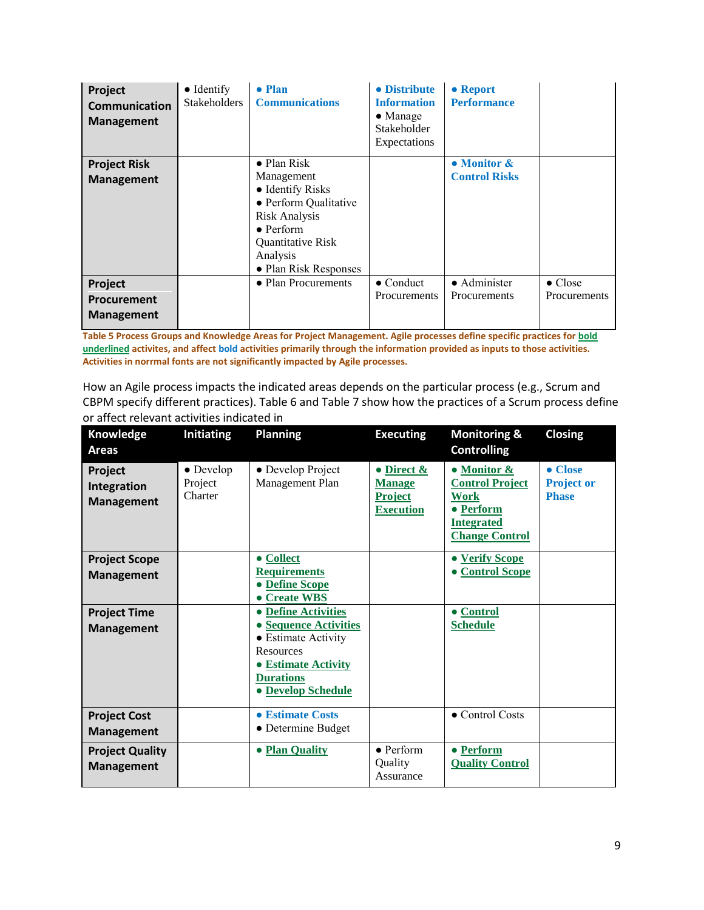| Project<br>Communication<br><b>Management</b> | $\bullet$ Identify<br>Stakeholders | • Plan<br><b>Communications</b> | • Distribute<br><b>Information</b><br>$\bullet$ Manage<br>Stakeholder<br>Expectations | • Report<br><b>Performance</b> |                 |
|-----------------------------------------------|------------------------------------|---------------------------------|---------------------------------------------------------------------------------------|--------------------------------|-----------------|
| <b>Project Risk</b>                           |                                    | $\bullet$ Plan Risk             |                                                                                       | • Monitor &                    |                 |
| <b>Management</b>                             |                                    | Management                      |                                                                                       | <b>Control Risks</b>           |                 |
|                                               |                                    | • Identify Risks                |                                                                                       |                                |                 |
|                                               |                                    | • Perform Qualitative           |                                                                                       |                                |                 |
|                                               |                                    | Risk Analysis                   |                                                                                       |                                |                 |
|                                               |                                    | $\bullet$ Perform               |                                                                                       |                                |                 |
|                                               |                                    | Quantitative Risk               |                                                                                       |                                |                 |
|                                               |                                    | Analysis                        |                                                                                       |                                |                 |
|                                               |                                    | • Plan Risk Responses           |                                                                                       |                                |                 |
| Project                                       |                                    | • Plan Procurements             | $\bullet$ Conduct                                                                     | $\bullet$ Administer           | $\bullet$ Close |
| <b>Procurement</b>                            |                                    |                                 | Procurements                                                                          | Procurements                   | Procurements    |
|                                               |                                    |                                 |                                                                                       |                                |                 |
| <b>Management</b>                             |                                    |                                 |                                                                                       |                                |                 |

**Table 5 Process Groups and Knowledge Areas for Project Management. Agile processes define specific practices for bold underlined activites, and affect bold activities primarily through the information provided as inputs to those activities. Activities in norrmal fonts are not significantly impacted by Agile processes.**

How an Agile process impacts the indicated areas depends on the particular process (e.g., Scrum and CBPM specify different practices). [Table 6](#page-9-0) and [Table 7](#page-10-2) show how the practices of a Scrum process define or affect relevant activities indicated i[n](#page-7-0)

| Knowledge<br>Areas                          | <b>Initiating</b>               | <b>Planning</b>                                                                                                                                                        | <b>Executing</b>                                                          | <b>Monitoring &amp;</b><br><b>Controlling</b>                                                            | <b>Closing</b>                                       |
|---------------------------------------------|---------------------------------|------------------------------------------------------------------------------------------------------------------------------------------------------------------------|---------------------------------------------------------------------------|----------------------------------------------------------------------------------------------------------|------------------------------------------------------|
| Project<br>Integration<br><b>Management</b> | • Develop<br>Project<br>Charter | • Develop Project<br>Management Plan                                                                                                                                   | $\bullet$ Direct &<br><b>Manage</b><br><b>Project</b><br><b>Execution</b> | • Monitor &<br><b>Control Project</b><br>Work<br>• Perform<br><b>Integrated</b><br><b>Change Control</b> | $\bullet$ Close<br><b>Project or</b><br><b>Phase</b> |
| <b>Project Scope</b><br><b>Management</b>   |                                 | • Collect<br><b>Requirements</b><br>• Define Scope<br>• Create WBS                                                                                                     |                                                                           | • Verify Scope<br><b>Control Scope</b>                                                                   |                                                      |
| <b>Project Time</b><br><b>Management</b>    |                                 | • Define Activities<br>• Sequence Activities<br>• Estimate Activity<br><b>Resources</b><br><b>• Estimate Activity</b><br><b>Durations</b><br><b>• Develop Schedule</b> |                                                                           | • Control<br><b>Schedule</b>                                                                             |                                                      |
| <b>Project Cost</b><br><b>Management</b>    |                                 | • Estimate Costs<br>• Determine Budget                                                                                                                                 |                                                                           | • Control Costs                                                                                          |                                                      |
| <b>Project Quality</b><br><b>Management</b> |                                 | • Plan Quality                                                                                                                                                         | $\bullet$ Perform<br>Quality<br>Assurance                                 | • Perform<br><b>Quality Control</b>                                                                      |                                                      |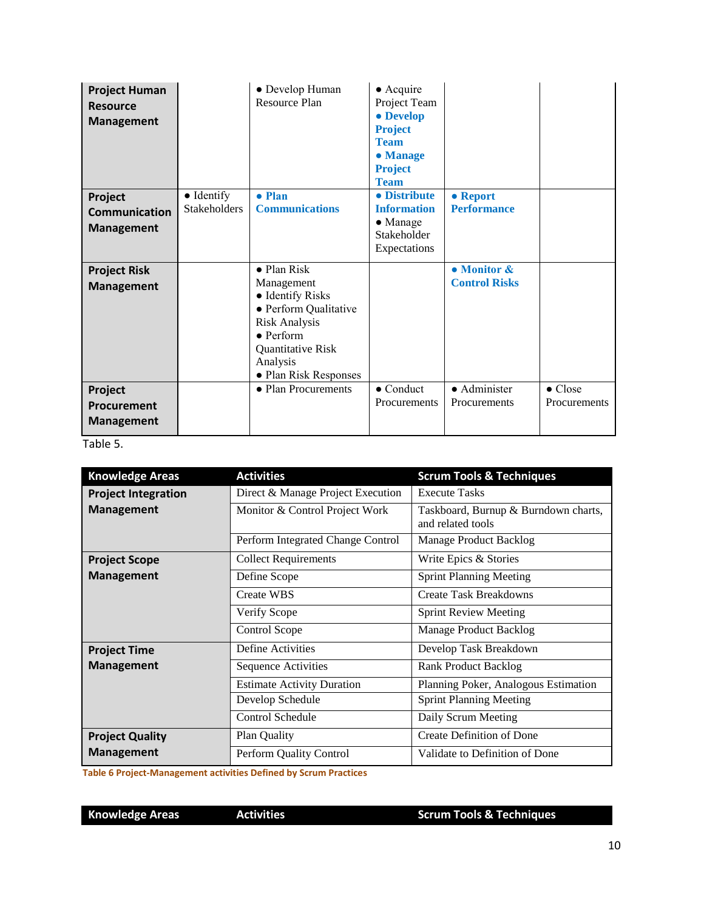| <b>Project Human</b><br><b>Resource</b><br><b>Management</b> |                     | • Develop Human<br>Resource Plan              | $\bullet$ Acquire<br>Project Team<br>• Develop<br><b>Project</b><br><b>Team</b><br>• Manage<br><b>Project</b><br><b>Team</b> |                      |                 |
|--------------------------------------------------------------|---------------------|-----------------------------------------------|------------------------------------------------------------------------------------------------------------------------------|----------------------|-----------------|
| Project                                                      | $\bullet$ Identify  | • Plan                                        | • Distribute                                                                                                                 | • Report             |                 |
| <b>Communication</b>                                         | <b>Stakeholders</b> | <b>Communications</b>                         | <b>Information</b>                                                                                                           | <b>Performance</b>   |                 |
| <b>Management</b>                                            |                     |                                               | $\bullet$ Manage<br>Stakeholder                                                                                              |                      |                 |
|                                                              |                     |                                               | Expectations                                                                                                                 |                      |                 |
|                                                              |                     |                                               |                                                                                                                              |                      |                 |
| <b>Project Risk</b>                                          |                     | • Plan Risk                                   |                                                                                                                              | • Monitor &          |                 |
| <b>Management</b>                                            |                     | Management                                    |                                                                                                                              | <b>Control Risks</b> |                 |
|                                                              |                     | • Identify Risks                              |                                                                                                                              |                      |                 |
|                                                              |                     | • Perform Qualitative<br><b>Risk Analysis</b> |                                                                                                                              |                      |                 |
|                                                              |                     | $\bullet$ Perform                             |                                                                                                                              |                      |                 |
|                                                              |                     | Quantitative Risk                             |                                                                                                                              |                      |                 |
|                                                              |                     | Analysis                                      |                                                                                                                              |                      |                 |
|                                                              |                     | • Plan Risk Responses                         |                                                                                                                              |                      |                 |
| Project                                                      |                     | • Plan Procurements                           | $\bullet$ Conduct                                                                                                            | $\bullet$ Administer | $\bullet$ Close |
| Procurement                                                  |                     |                                               | Procurements                                                                                                                 | Procurements         | Procurements    |
| <b>Management</b>                                            |                     |                                               |                                                                                                                              |                      |                 |

Table 5.

| <b>Knowledge Areas</b>     | <b>Activities</b>                 | <b>Scrum Tools &amp; Techniques</b>                       |  |
|----------------------------|-----------------------------------|-----------------------------------------------------------|--|
| <b>Project Integration</b> | Direct & Manage Project Execution | <b>Execute Tasks</b>                                      |  |
| <b>Management</b>          | Monitor & Control Project Work    | Taskboard, Burnup & Burndown charts,<br>and related tools |  |
|                            | Perform Integrated Change Control | Manage Product Backlog                                    |  |
| <b>Project Scope</b>       | <b>Collect Requirements</b>       | Write Epics & Stories                                     |  |
| <b>Management</b>          | Define Scope                      | <b>Sprint Planning Meeting</b>                            |  |
|                            | <b>Create WBS</b>                 | <b>Create Task Breakdowns</b>                             |  |
|                            | Verify Scope                      | <b>Sprint Review Meeting</b>                              |  |
|                            | Control Scope                     | Manage Product Backlog                                    |  |
| <b>Project Time</b>        | Define Activities                 | Develop Task Breakdown                                    |  |
| <b>Management</b>          | <b>Sequence Activities</b>        | <b>Rank Product Backlog</b>                               |  |
|                            | <b>Estimate Activity Duration</b> | Planning Poker, Analogous Estimation                      |  |
|                            | Develop Schedule                  | <b>Sprint Planning Meeting</b>                            |  |
|                            | Control Schedule                  | Daily Scrum Meeting                                       |  |
| <b>Project Quality</b>     | Plan Quality                      | <b>Create Definition of Done</b>                          |  |
| <b>Management</b>          | Perform Quality Control           | Validate to Definition of Done                            |  |

<span id="page-9-0"></span>**Table 6 Project-Management activities Defined by Scrum Practices**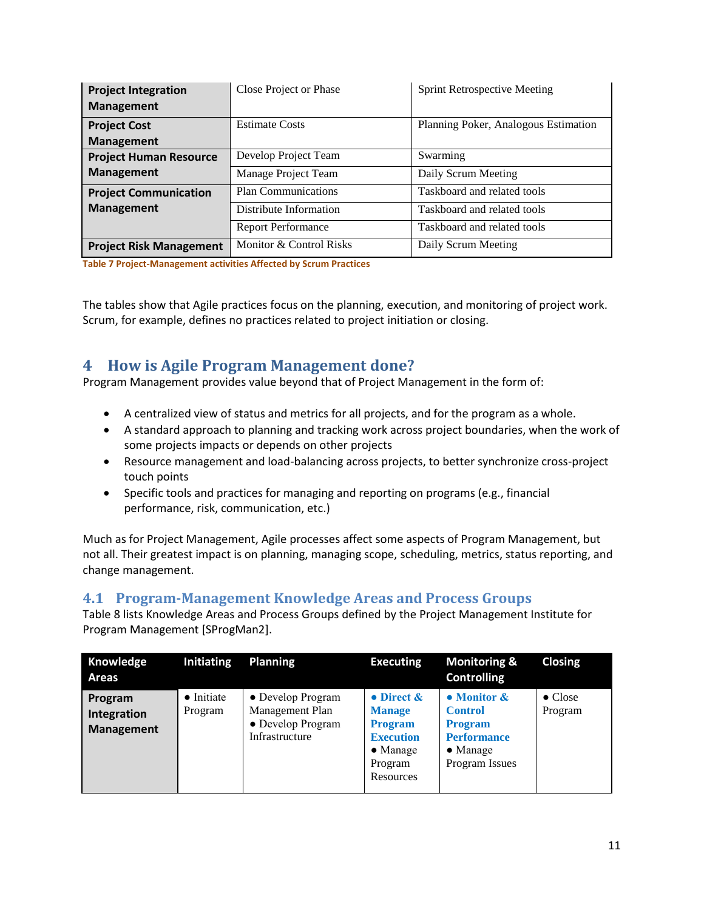| <b>Project Integration</b><br><b>Management</b> | Close Project or Phase     | <b>Sprint Retrospective Meeting</b>  |  |
|-------------------------------------------------|----------------------------|--------------------------------------|--|
| <b>Project Cost</b>                             | <b>Estimate Costs</b>      | Planning Poker, Analogous Estimation |  |
| <b>Management</b>                               |                            |                                      |  |
| <b>Project Human Resource</b>                   | Develop Project Team       | Swarming                             |  |
| <b>Management</b>                               | Manage Project Team        | Daily Scrum Meeting                  |  |
| <b>Project Communication</b>                    | <b>Plan Communications</b> | Taskboard and related tools          |  |
| <b>Management</b>                               | Distribute Information     | Taskboard and related tools          |  |
|                                                 | <b>Report Performance</b>  | Taskboard and related tools          |  |
| <b>Project Risk Management</b>                  | Monitor & Control Risks    | Daily Scrum Meeting                  |  |

<span id="page-10-2"></span>**Table 7 Project-Management activities Affected by Scrum Practices**

The tables show that Agile practices focus on the planning, execution, and monitoring of project work. Scrum, for example, defines no practices related to project initiation or closing.

### <span id="page-10-0"></span>**4 How is Agile Program Management done?**

Program Management provides value beyond that of Project Management in the form of:

- A centralized view of status and metrics for all projects, and for the program as a whole.
- A standard approach to planning and tracking work across project boundaries, when the work of some projects impacts or depends on other projects
- Resource management and load-balancing across projects, to better synchronize cross-project touch points
- Specific tools and practices for managing and reporting on programs (e.g., financial performance, risk, communication, etc.)

Much as for Project Management, Agile processes affect some aspects of Program Management, but not all. Their greatest impact is on planning, managing scope, scheduling, metrics, status reporting, and change management.

### <span id="page-10-1"></span>**4.1 Program-Management Knowledge Areas and Process Groups**

[Table 8](#page-11-0) lists Knowledge Areas and Process Groups defined by the Project Management Institute for Program Management [SProgMan2].

| Knowledge<br><b>Areas</b>                   | Initiating                    | <b>Planning</b>                                                             | <b>Executing</b>                                                                                                 | <b>Monitoring &amp;</b><br><b>Controlling</b>                                                                          | <b>Closing</b>             |
|---------------------------------------------|-------------------------------|-----------------------------------------------------------------------------|------------------------------------------------------------------------------------------------------------------|------------------------------------------------------------------------------------------------------------------------|----------------------------|
| Program<br>Integration<br><b>Management</b> | $\bullet$ Initiate<br>Program | • Develop Program<br>Management Plan<br>• Develop Program<br>Infrastructure | • Direct $\&$<br><b>Manage</b><br><b>Program</b><br><b>Execution</b><br>$\bullet$ Manage<br>Program<br>Resources | $\bullet$ Monitor $\&$<br><b>Control</b><br><b>Program</b><br><b>Performance</b><br>$\bullet$ Manage<br>Program Issues | $\bullet$ Close<br>Program |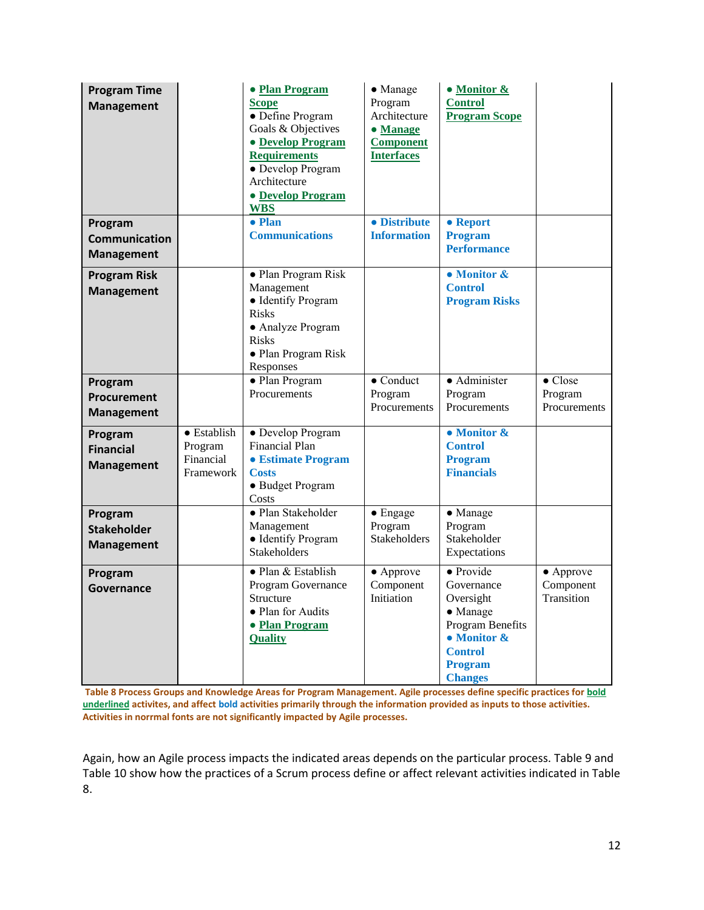| <b>Program Time</b><br><b>Management</b>             |                                                          | • Plan Program<br><b>Scope</b><br>• Define Program<br>Goals & Objectives<br>• Develop Program<br><b>Requirements</b><br>• Develop Program<br>Architecture<br><b>• Develop Program</b><br><b>WBS</b> | • Manage<br>Program<br>Architecture<br>· Manage<br><b>Component</b><br><b>Interfaces</b> | • Monitor &<br><b>Control</b><br><b>Program Scope</b>                                                                                                             |                                              |
|------------------------------------------------------|----------------------------------------------------------|-----------------------------------------------------------------------------------------------------------------------------------------------------------------------------------------------------|------------------------------------------------------------------------------------------|-------------------------------------------------------------------------------------------------------------------------------------------------------------------|----------------------------------------------|
| Program<br><b>Communication</b><br><b>Management</b> |                                                          | $\bullet$ Plan<br><b>Communications</b>                                                                                                                                                             | · Distribute<br><b>Information</b>                                                       | • Report<br><b>Program</b><br><b>Performance</b>                                                                                                                  |                                              |
| <b>Program Risk</b><br><b>Management</b>             |                                                          | · Plan Program Risk<br>Management<br>· Identify Program<br><b>Risks</b><br>• Analyze Program<br><b>Risks</b><br>• Plan Program Risk<br>Responses                                                    |                                                                                          | • Monitor &<br><b>Control</b><br><b>Program Risks</b>                                                                                                             |                                              |
| Program<br>Procurement<br><b>Management</b>          |                                                          | • Plan Program<br>Procurements                                                                                                                                                                      | $\bullet$ Conduct<br>Program<br>Procurements                                             | · Administer<br>Program<br>Procurements                                                                                                                           | $\bullet$ Close<br>Program<br>Procurements   |
| Program<br><b>Financial</b><br><b>Management</b>     | $\bullet$ Establish<br>Program<br>Financial<br>Framework | • Develop Program<br><b>Financial Plan</b><br>• Estimate Program<br><b>Costs</b><br>• Budget Program<br>Costs                                                                                       |                                                                                          | $\bullet$ Monitor &<br><b>Control</b><br><b>Program</b><br><b>Financials</b>                                                                                      |                                              |
| Program<br><b>Stakeholder</b><br><b>Management</b>   |                                                          | · Plan Stakeholder<br>Management<br>• Identify Program<br>Stakeholders                                                                                                                              | $\bullet$ Engage<br>Program<br>Stakeholders                                              | • Manage<br>Program<br>Stakeholder<br>Expectations                                                                                                                |                                              |
| Program<br>Governance                                |                                                          | · Plan & Establish<br>Program Governance<br>Structure<br>· Plan for Audits<br>• Plan Program<br><b>Quality</b>                                                                                      | • Approve<br>Component<br>Initiation                                                     | $\bullet$ Provide<br>Governance<br>Oversight<br>$\bullet$ Manage<br>Program Benefits<br>$\bullet$ Monitor &<br><b>Control</b><br><b>Program</b><br><b>Changes</b> | $\bullet$ Approve<br>Component<br>Transition |

<span id="page-11-0"></span>**Table 8 Process Groups and Knowledge Areas for Program Management. Agile processes define specific practices for bold underlined activites, and affect bold activities primarily through the information provided as inputs to those activities. Activities in norrmal fonts are not significantly impacted by Agile processes.**

Again, how an Agile process impacts the indicated areas depends on the particular process. [Table 9](#page-12-1) and [Table 10](#page-12-2) show how the practices of a Scrum process define or affect relevant activities indicated in [Table](#page-11-0)  [8.](#page-11-0)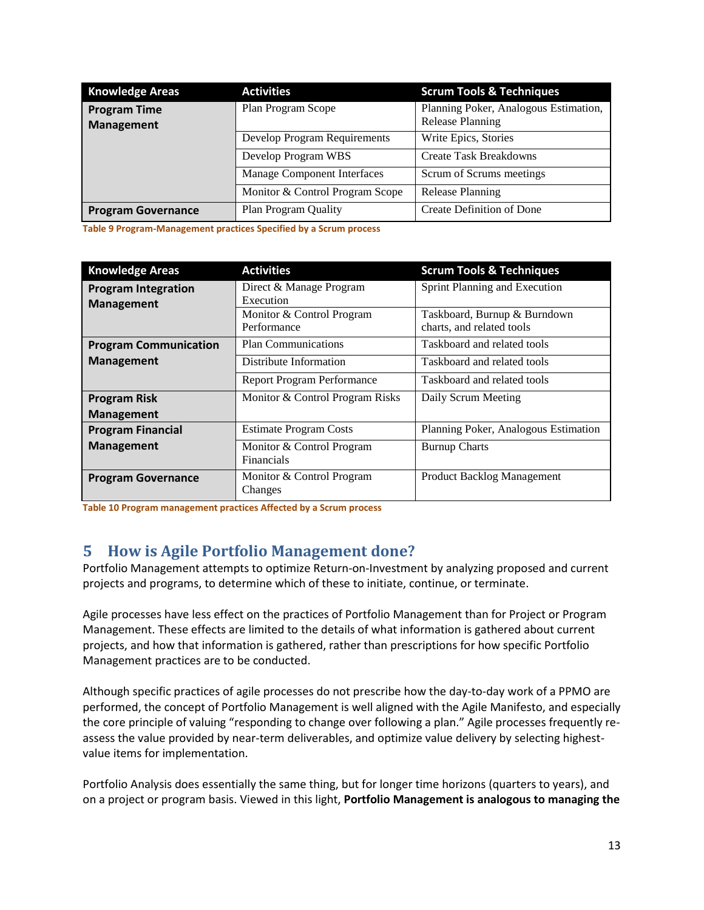| <b>Knowledge Areas</b>                   | <b>Activities</b>               | <b>Scrum Tools &amp; Techniques</b>                              |
|------------------------------------------|---------------------------------|------------------------------------------------------------------|
| <b>Program Time</b><br><b>Management</b> | Plan Program Scope              | Planning Poker, Analogous Estimation,<br><b>Release Planning</b> |
|                                          | Develop Program Requirements    | Write Epics, Stories                                             |
|                                          | Develop Program WBS             | <b>Create Task Breakdowns</b>                                    |
|                                          | Manage Component Interfaces     | Scrum of Scrums meetings                                         |
|                                          | Monitor & Control Program Scope | <b>Release Planning</b>                                          |
| <b>Program Governance</b>                | Plan Program Quality            | Create Definition of Done                                        |

<span id="page-12-1"></span>**Table 9 Program-Management practices Specified by a Scrum process**

| <b>Knowledge Areas</b>                          | <b>Activities</b>                        | <b>Scrum Tools &amp; Techniques</b>                       |
|-------------------------------------------------|------------------------------------------|-----------------------------------------------------------|
| <b>Program Integration</b><br><b>Management</b> | Direct & Manage Program<br>Execution     | Sprint Planning and Execution                             |
|                                                 | Monitor & Control Program<br>Performance | Taskboard, Burnup & Burndown<br>charts, and related tools |
| <b>Program Communication</b>                    | <b>Plan Communications</b>               | Taskboard and related tools                               |
| <b>Management</b>                               | Distribute Information                   | Taskboard and related tools                               |
|                                                 | <b>Report Program Performance</b>        | Taskboard and related tools                               |
| <b>Program Risk</b>                             | Monitor & Control Program Risks          | Daily Scrum Meeting                                       |
| <b>Management</b>                               |                                          |                                                           |
| <b>Program Financial</b>                        | <b>Estimate Program Costs</b>            | Planning Poker, Analogous Estimation                      |
| <b>Management</b>                               | Monitor & Control Program<br>Financials  | <b>Burnup Charts</b>                                      |
| <b>Program Governance</b>                       | Monitor & Control Program<br>Changes     | <b>Product Backlog Management</b>                         |

<span id="page-12-2"></span>**Table 10 Program management practices Affected by a Scrum process**

# <span id="page-12-0"></span>**5 How is Agile Portfolio Management done?**

Portfolio Management attempts to optimize Return-on-Investment by analyzing proposed and current projects and programs, to determine which of these to initiate, continue, or terminate.

Agile processes have less effect on the practices of Portfolio Management than for Project or Program Management. These effects are limited to the details of what information is gathered about current projects, and how that information is gathered, rather than prescriptions for how specific Portfolio Management practices are to be conducted.

Although specific practices of agile processes do not prescribe how the day-to-day work of a PPMO are performed, the concept of Portfolio Management is well aligned with the Agile Manifesto, and especially the core principle of valuing "responding to change over following a plan." Agile processes frequently reassess the value provided by near-term deliverables, and optimize value delivery by selecting highestvalue items for implementation.

Portfolio Analysis does essentially the same thing, but for longer time horizons (quarters to years), and on a project or program basis. Viewed in this light, **Portfolio Management is analogous to managing the**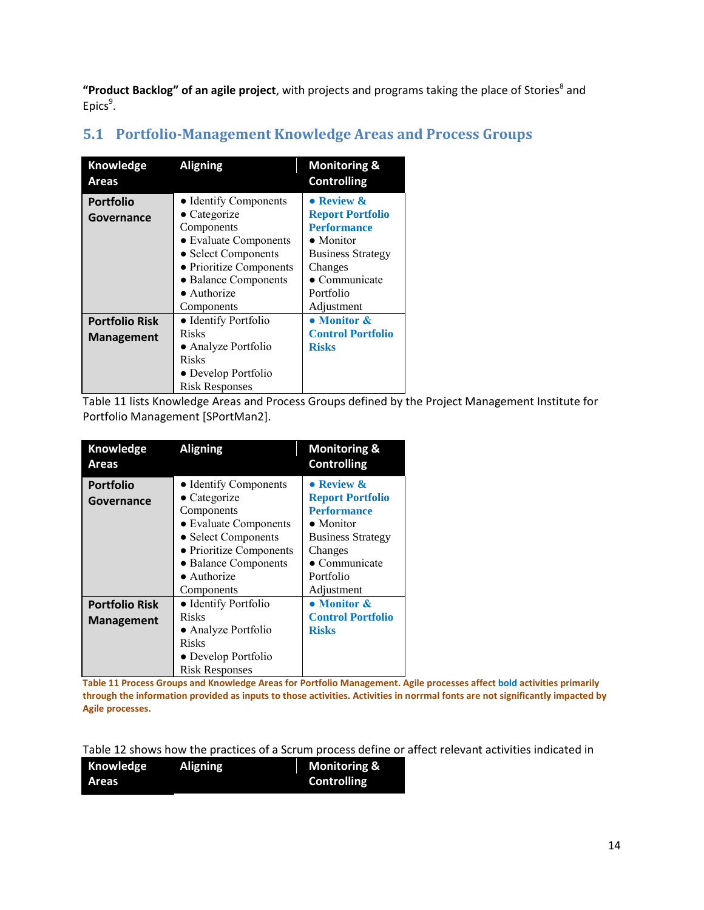"Product Backlog" of an agile project, with projects and programs taking the place of Stories<sup>8</sup> and Epics<sup>9</sup>.

| Knowledge<br>Areas    | <b>Aligning</b>                    | <b>Monitoring &amp;</b><br><b>Controlling</b> |
|-----------------------|------------------------------------|-----------------------------------------------|
| <b>Portfolio</b>      | • Identify Components              | • Review &                                    |
| Governance            | $\bullet$ Categorize               | <b>Report Portfolio</b>                       |
|                       | Components                         | <b>Performance</b>                            |
|                       | • Evaluate Components              | $\bullet$ Monitor                             |
|                       | · Select Components                | <b>Business Strategy</b>                      |
|                       | • Prioritize Components<br>Changes |                                               |
|                       | • Balance Components               | $\bullet$ Communicate                         |
|                       | $\bullet$ Authorize                | Portfolio                                     |
|                       | Components                         | Adjustment                                    |
| <b>Portfolio Risk</b> | • Identify Portfolio               | • Monitor &                                   |
| <b>Management</b>     | Risks                              | <b>Control Portfolio</b>                      |
|                       | • Analyze Portfolio                | <b>Risks</b>                                  |
|                       | Risks                              |                                               |
|                       | • Develop Portfolio                |                                               |
|                       | <b>Risk Responses</b>              |                                               |

# <span id="page-13-0"></span>**5.1 [Portfolio-Management Knowledge Areas and Process Groups](#page-13-1)**

[Table 11](#page-13-1) lists Knowledge Areas and Process Groups defined by the Project Management Institute for Portfolio Management [SPortMan2].

<span id="page-13-1"></span>

| Knowledge<br>Areas                         | <b>Aligning</b>                                                                                               | <b>Monitoring &amp;</b><br><b>Controlling</b>                                                                |
|--------------------------------------------|---------------------------------------------------------------------------------------------------------------|--------------------------------------------------------------------------------------------------------------|
| <b>Portfolio</b><br>Governance             | • Identify Components<br>$\bullet$ Categorize<br>Components<br>• Evaluate Components<br>• Select Components   | • Review &<br><b>Report Portfolio</b><br><b>Performance</b><br>$\bullet$ Monitor<br><b>Business Strategy</b> |
|                                            | • Prioritize Components<br>• Balance Components<br>$\bullet$ Authorize<br>Components                          | Changes<br>$\bullet$ Communicate<br>Portfolio<br>Adjustment                                                  |
| <b>Portfolio Risk</b><br><b>Management</b> | • Identify Portfolio<br>Risks<br>• Analyze Portfolio<br>Risks<br>• Develop Portfolio<br><b>Risk Responses</b> | • Monitor &<br><b>Control Portfolio</b><br><b>Risks</b>                                                      |

**Table 11 Process Groups and Knowledge Areas for Portfolio Management. Agile processes affect bold activities primarily through the information provided as inputs to those activities. Activities in norrmal fonts are not significantly impacted by Agile processes.**

[Table 12](#page-14-1) shows how the practices of a Scrum process define or affect relevant activities indicated in

| Knowledge    | <b>Aligning</b> | <b>Monitoring &amp;</b> |
|--------------|-----------------|-------------------------|
| <b>Areas</b> |                 | <b>Controlling</b>      |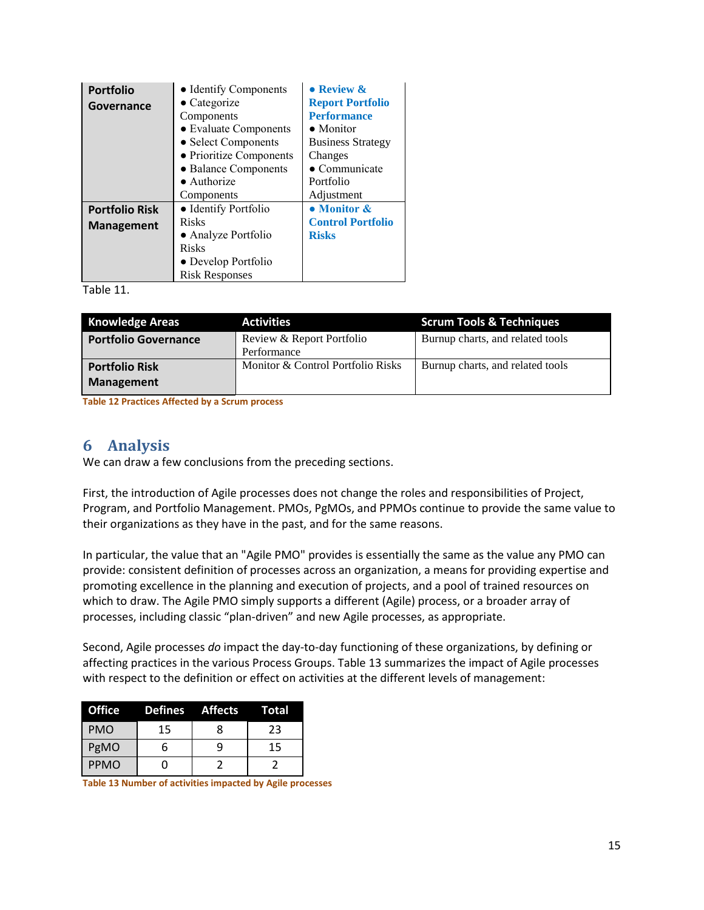| <b>Portfolio</b>      | • Identify Components   | $\bullet$ Review $\&$    |
|-----------------------|-------------------------|--------------------------|
| Governance            | $\bullet$ Categorize    | <b>Report Portfolio</b>  |
|                       | Components              | <b>Performance</b>       |
|                       | • Evaluate Components   | $\bullet$ Monitor        |
|                       | • Select Components     | <b>Business Strategy</b> |
|                       | • Prioritize Components | Changes                  |
|                       | • Balance Components    | $\bullet$ Communicate    |
|                       | $\bullet$ Authorize     | Portfolio                |
|                       | Components              | Adjustment               |
| <b>Portfolio Risk</b> | • Identify Portfolio    | • Monitor &              |
| <b>Management</b>     | <b>Risks</b>            | <b>Control Portfolio</b> |
|                       | • Analyze Portfolio     | <b>Risks</b>             |
|                       | <b>Risks</b>            |                          |
|                       | • Develop Portfolio     |                          |
|                       | <b>Risk Responses</b>   |                          |

Table 11.

| <b>Knowledge Areas</b>      | <b>Activities</b>                 | <b>Scrum Tools &amp; Techniques</b> |
|-----------------------------|-----------------------------------|-------------------------------------|
| <b>Portfolio Governance</b> | Review & Report Portfolio         | Burnup charts, and related tools    |
|                             | Performance                       |                                     |
| <b>Portfolio Risk</b>       | Monitor & Control Portfolio Risks | Burnup charts, and related tools    |
| <b>Management</b>           |                                   |                                     |

<span id="page-14-1"></span>**Table 12 Practices Affected by a Scrum process**

### <span id="page-14-0"></span>**6 Analysis**

We can draw a few conclusions from the preceding sections.

First, the introduction of Agile processes does not change the roles and responsibilities of Project, Program, and Portfolio Management. PMOs, PgMOs, and PPMOs continue to provide the same value to their organizations as they have in the past, and for the same reasons.

In particular, the value that an "Agile PMO" provides is essentially the same as the value any PMO can provide: consistent definition of processes across an organization, a means for providing expertise and promoting excellence in the planning and execution of projects, and a pool of trained resources on which to draw. The Agile PMO simply supports a different (Agile) process, or a broader array of processes, including classic "plan-driven" and new Agile processes, as appropriate.

Second, Agile processes *do* impact the day-to-day functioning of these organizations, by defining or affecting practices in the various Process Groups. [Table 13](#page-14-2) summarizes the impact of Agile processes with respect to the definition or effect on activities at the different levels of management:

| <b>Office</b> |    | <b>Defines</b> Affects | Total |
|---------------|----|------------------------|-------|
| <b>PMO</b>    | 15 | 8                      | 23    |
| PgMO          | 6  |                        | 15    |
| <b>PPMO</b>   |    |                        |       |

<span id="page-14-2"></span>**Table 13 Number of activities impacted by Agile processes**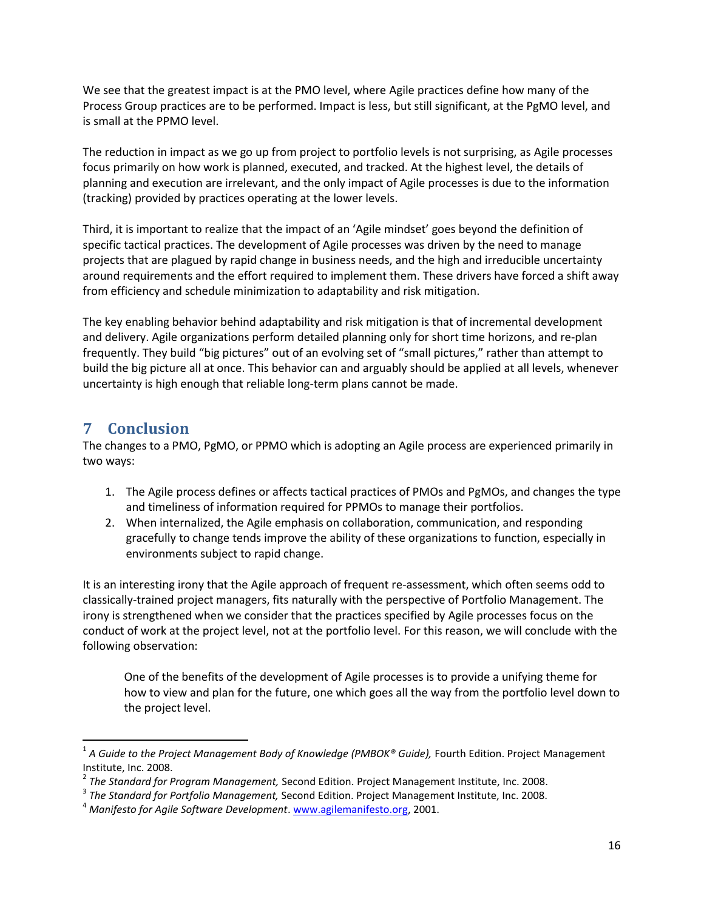We see that the greatest impact is at the PMO level, where Agile practices define how many of the Process Group practices are to be performed. Impact is less, but still significant, at the PgMO level, and is small at the PPMO level.

The reduction in impact as we go up from project to portfolio levels is not surprising, as Agile processes focus primarily on how work is planned, executed, and tracked. At the highest level, the details of planning and execution are irrelevant, and the only impact of Agile processes is due to the information (tracking) provided by practices operating at the lower levels.

Third, it is important to realize that the impact of an 'Agile mindset' goes beyond the definition of specific tactical practices. The development of Agile processes was driven by the need to manage projects that are plagued by rapid change in business needs, and the high and irreducible uncertainty around requirements and the effort required to implement them. These drivers have forced a shift away from efficiency and schedule minimization to adaptability and risk mitigation.

The key enabling behavior behind adaptability and risk mitigation is that of incremental development and delivery. Agile organizations perform detailed planning only for short time horizons, and re-plan frequently. They build "big pictures" out of an evolving set of "small pictures," rather than attempt to build the big picture all at once. This behavior can and arguably should be applied at all levels, whenever uncertainty is high enough that reliable long-term plans cannot be made.

### <span id="page-15-0"></span>**7 Conclusion**

 $\overline{\phantom{a}}$ 

The changes to a PMO, PgMO, or PPMO which is adopting an Agile process are experienced primarily in two ways:

- 1. The Agile process defines or affects tactical practices of PMOs and PgMOs, and changes the type and timeliness of information required for PPMOs to manage their portfolios.
- 2. When internalized, the Agile emphasis on collaboration, communication, and responding gracefully to change tends improve the ability of these organizations to function, especially in environments subject to rapid change.

It is an interesting irony that the Agile approach of frequent re-assessment, which often seems odd to classically-trained project managers, fits naturally with the perspective of Portfolio Management. The irony is strengthened when we consider that the practices specified by Agile processes focus on the conduct of work at the project level, not at the portfolio level. For this reason, we will conclude with the following observation:

One of the benefits of the development of Agile processes is to provide a unifying theme for how to view and plan for the future, one which goes all the way from the portfolio level down to the project level.

<sup>1</sup> *A Guide to the Project Management Body of Knowledge (PMBOK® Guide),* Fourth Edition. Project Management Institute, Inc. 2008.

<sup>2</sup> *The Standard for Program Management,* Second Edition. Project Management Institute, Inc. 2008.

<sup>3</sup> *The Standard for Portfolio Management,* Second Edition. Project Management Institute, Inc. 2008.

<sup>4</sup> *Manifesto for Agile Software Development*. [www.agilemanifesto.org,](http://www.agilemanifesto.org/) 2001.